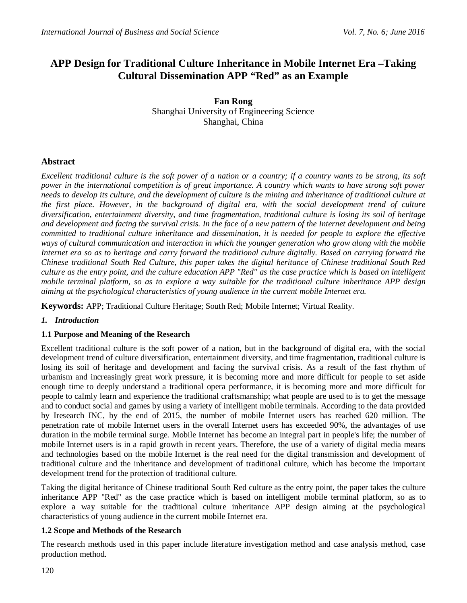# **APP Design for Traditional Culture Inheritance in Mobile Internet Era –Taking Cultural Dissemination APP "Red" as an Example**

**Fan Rong** Shanghai University of Engineering Science Shanghai, China

### **Abstract**

*Excellent traditional culture is the soft power of a nation or a country; if a country wants to be strong, its soft power in the international competition is of great importance. A country which wants to have strong soft power needs to develop its culture, and the development of culture is the mining and inheritance of traditional culture at the first place. However, in the background of digital era, with the social development trend of culture diversification, entertainment diversity, and time fragmentation, traditional culture is losing its soil of heritage and development and facing the survival crisis. In the face of a new pattern of the Internet development and being committed to traditional culture inheritance and dissemination, it is needed for people to explore the effective ways of cultural communication and interaction in which the younger generation who grow along with the mobile Internet era so as to heritage and carry forward the traditional culture digitally. Based on carrying forward the Chinese traditional South Red Culture, this paper takes the digital heritance of Chinese traditional South Red culture as the entry point, and the culture education APP "Red" as the case practice which is based on intelligent mobile terminal platform, so as to explore a way suitable for the traditional culture inheritance APP design aiming at the psychological characteristics of young audience in the current mobile Internet era.*

**Keywords:** APP; Traditional Culture Heritage; South Red; Mobile Internet; Virtual Reality.

### *1. Introduction*

#### **1.1 Purpose and Meaning of the Research**

Excellent traditional culture is the soft power of a nation, but in the background of digital era, with the social development trend of culture diversification, entertainment diversity, and time fragmentation, traditional culture is losing its soil of heritage and development and facing the survival crisis. As a result of the fast rhythm of urbanism and increasingly great work pressure, it is becoming more and more difficult for people to set aside enough time to deeply understand a traditional opera performance, it is becoming more and more difficult for people to calmly learn and experience the traditional craftsmanship; what people are used to is to get the message and to conduct social and games by using a variety of intelligent mobile terminals. According to the data provided by Iresearch INC, by the end of 2015, the number of mobile Internet users has reached 620 million. The penetration rate of mobile Internet users in the overall Internet users has exceeded 90%, the advantages of use duration in the mobile terminal surge. Mobile Internet has become an integral part in people's life; the number of mobile Internet users is in a rapid growth in recent years. Therefore, the use of a variety of digital media means and technologies based on the mobile Internet is the real need for the digital transmission and development of traditional culture and the inheritance and development of traditional culture, which has become the important development trend for the protection of traditional culture.

Taking the digital heritance of Chinese traditional South Red culture as the entry point, the paper takes the culture inheritance APP "Red" as the case practice which is based on intelligent mobile terminal platform, so as to explore a way suitable for the traditional culture inheritance APP design aiming at the psychological characteristics of young audience in the current mobile Internet era.

#### **1.2 Scope and Methods of the Research**

The research methods used in this paper include literature investigation method and case analysis method, case production method.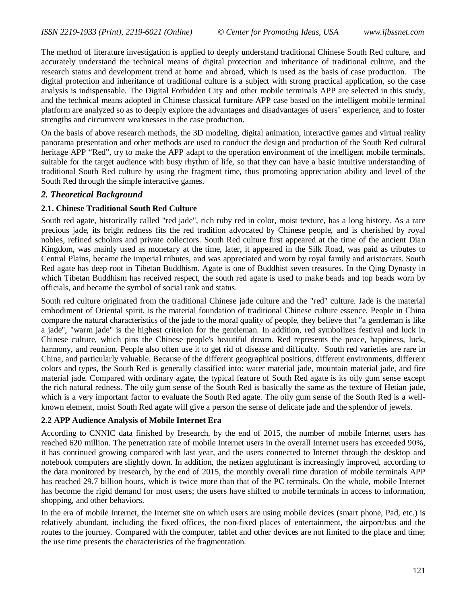The method of literature investigation is applied to deeply understand traditional Chinese South Red culture, and accurately understand the technical means of digital protection and inheritance of traditional culture, and the research status and development trend at home and abroad, which is used as the basis of case production. The digital protection and inheritance of traditional culture is a subject with strong practical application, so the case analysis is indispensable. The Digital Forbidden City and other mobile terminals APP are selected in this study, and the technical means adopted in Chinese classical furniture APP case based on the intelligent mobile terminal platform are analyzed so as to deeply explore the advantages and disadvantages of users' experience, and to foster strengths and circumvent weaknesses in the case production.

On the basis of above research methods, the 3D modeling, digital animation, interactive games and virtual reality panorama presentation and other methods are used to conduct the design and production of the South Red cultural heritage APP "Red", try to make the APP adapt to the operation environment of the intelligent mobile terminals, suitable for the target audience with busy rhythm of life, so that they can have a basic intuitive understanding of traditional South Red culture by using the fragment time, thus promoting appreciation ability and level of the South Red through the simple interactive games.

### *2. Theoretical Background*

### **2.1. Chinese Traditional South Red Culture**

South red agate, historically called "red jade", rich ruby red in color, moist texture, has a long history. As a rare precious jade, its bright redness fits the red tradition advocated by Chinese people, and is cherished by royal nobles, refined scholars and private collectors. South Red culture first appeared at the time of the ancient Dian Kingdom, was mainly used as monetary at the time, later, it appeared in the Silk Road, was paid as tributes to Central Plains, became the imperial tributes, and was appreciated and worn by royal family and aristocrats. South Red agate has deep root in Tibetan Buddhism. Agate is one of Buddhist seven treasures. In the Qing Dynasty in which Tibetan Buddhism has received respect, the south red agate is used to make beads and top beads worn by officials, and became the symbol of social rank and status.

South red culture originated from the traditional Chinese jade culture and the "red" culture. Jade is the material embodiment of Oriental spirit, is the material foundation of traditional Chinese culture essence. People in China compare the natural characteristics of the jade to the moral quality of people, they believe that "a gentleman is like a jade", "warm jade" is the highest criterion for the gentleman. In addition, red symbolizes festival and luck in Chinese culture, which pins the Chinese people's beautiful dream. Red represents the peace, happiness, luck, harmony, and reunion. People also often use it to get rid of disease and difficulty. South red varieties are rare in China, and particularly valuable. Because of the different geographical positions, different environments, different colors and types, the South Red is generally classified into: water material jade, mountain material jade, and fire material jade. Compared with ordinary agate, the typical feature of South Red agate is its oily gum sense except the rich natural redness. The oily gum sense of the South Red is basically the same as the texture of Hetian jade, which is a very important factor to evaluate the South Red agate. The oily gum sense of the South Red is a wellknown element, moist South Red agate will give a person the sense of delicate jade and the splendor of jewels.

### **2.2 APP Audience Analysis of Mobile Internet Era**

According to CNNIC data finished by Iresearch, by the end of 2015, the number of mobile Internet users has reached 620 million. The penetration rate of mobile Internet users in the overall Internet users has exceeded 90%, it has continued growing compared with last year, and the users connected to Internet through the desktop and notebook computers are slightly down. In addition, the netizen agglutinant is increasingly improved, according to the data monitored by Iresearch, by the end of 2015, the monthly overall time duration of mobile terminals APP has reached 29.7 billion hours, which is twice more than that of the PC terminals. On the whole, mobile Internet has become the rigid demand for most users; the users have shifted to mobile terminals in access to information, shopping, and other behaviors.

In the era of mobile Internet, the Internet site on which users are using mobile devices (smart phone, Pad, etc.) is relatively abundant, including the fixed offices, the non-fixed places of entertainment, the airport/bus and the routes to the journey. Compared with the computer, tablet and other devices are not limited to the place and time; the use time presents the characteristics of the fragmentation.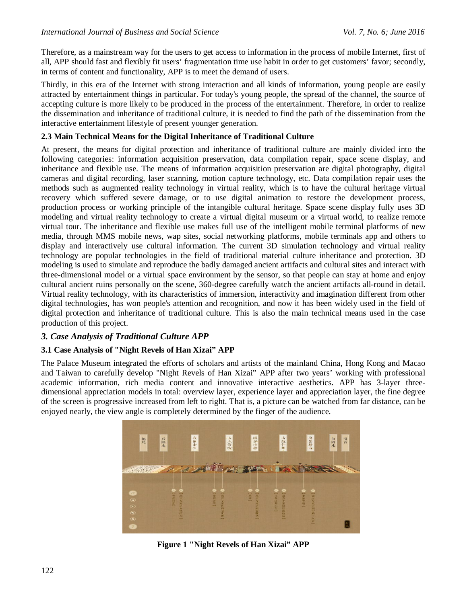Therefore, as a mainstream way for the users to get access to information in the process of mobile Internet, first of all, APP should fast and flexibly fit users' fragmentation time use habit in order to get customers' favor; secondly, in terms of content and functionality, APP is to meet the demand of users.

Thirdly, in this era of the Internet with strong interaction and all kinds of information, young people are easily attracted by entertainment things in particular. For today's young people, the spread of the channel, the source of accepting culture is more likely to be produced in the process of the entertainment. Therefore, in order to realize the dissemination and inheritance of traditional culture, it is needed to find the path of the dissemination from the interactive entertainment lifestyle of present younger generation.

### **2.3 Main Technical Means for the Digital Inheritance of Traditional Culture**

At present, the means for digital protection and inheritance of traditional culture are mainly divided into the following categories: information acquisition preservation, data compilation repair, space scene display, and inheritance and flexible use. The means of information acquisition preservation are digital photography, digital cameras and digital recording, laser scanning, motion capture technology, etc. Data compilation repair uses the methods such as augmented reality technology in virtual reality, which is to have the cultural heritage virtual recovery which suffered severe damage, or to use digital animation to restore the development process, production process or working principle of the intangible cultural heritage. Space scene display fully uses 3D modeling and virtual reality technology to create a virtual digital museum or a virtual world, to realize remote virtual tour. The inheritance and flexible use makes full use of the intelligent mobile terminal platforms of new media, through MMS mobile news, wap sites, social networking platforms, mobile terminals app and others to display and interactively use cultural information. The current 3D simulation technology and virtual reality technology are popular technologies in the field of traditional material culture inheritance and protection. 3D modeling is used to simulate and reproduce the badly damaged ancient artifacts and cultural sites and interact with three-dimensional model or a virtual space environment by the sensor, so that people can stay at home and enjoy cultural ancient ruins personally on the scene, 360-degree carefully watch the ancient artifacts all-round in detail. Virtual reality technology, with its characteristics of immersion, interactivity and imagination different from other digital technologies, has won people's attention and recognition, and now it has been widely used in the field of digital protection and inheritance of traditional culture. This is also the main technical means used in the case production of this project.

# *3. Case Analysis of Traditional Culture APP*

### **3.1 Case Analysis of "Night Revels of Han Xizai" APP**

The Palace Museum integrated the efforts of scholars and artists of the mainland China, Hong Kong and Macao and Taiwan to carefully develop "Night Revels of Han Xizai" APP after two years' working with professional academic information, rich media content and innovative interactive aesthetics. APP has 3-layer threedimensional appreciation models in total: overview layer, experience layer and appreciation layer, the fine degree of the screen is progressive increased from left to right. That is, a picture can be watched from far distance, can be enjoyed nearly, the view angle is completely determined by the finger of the audience.



**Figure 1 "Night Revels of Han Xizai" APP**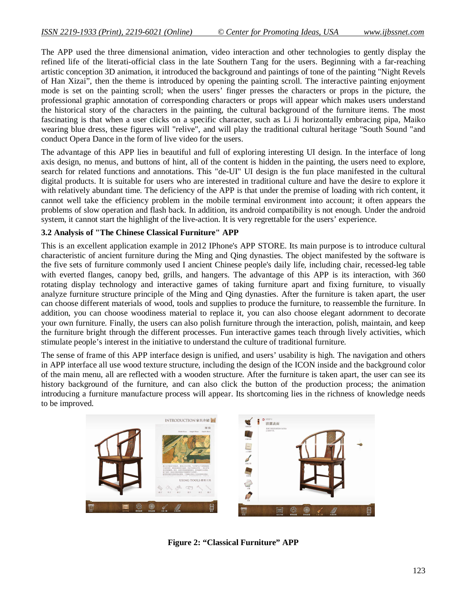The APP used the three dimensional animation, video interaction and other technologies to gently display the refined life of the literati-official class in the late Southern Tang for the users. Beginning with a far-reaching artistic conception 3D animation, it introduced the background and paintings of tone of the painting "Night Revels of Han Xizai", then the theme is introduced by opening the painting scroll. The interactive painting enjoyment mode is set on the painting scroll; when the users' finger presses the characters or props in the picture, the professional graphic annotation of corresponding characters or props will appear which makes users understand the historical story of the characters in the painting, the cultural background of the furniture items. The most fascinating is that when a user clicks on a specific character, such as Li Ji horizontally embracing pipa, Maiko wearing blue dress, these figures will "relive", and will play the traditional cultural heritage "South Sound "and conduct Opera Dance in the form of live video for the users.

The advantage of this APP lies in beautiful and full of exploring interesting UI design. In the interface of long axis design, no menus, and buttons of hint, all of the content is hidden in the painting, the users need to explore, search for related functions and annotations. This "de-UI" UI design is the fun place manifested in the cultural digital products. It is suitable for users who are interested in traditional culture and have the desire to explore it with relatively abundant time. The deficiency of the APP is that under the premise of loading with rich content, it cannot well take the efficiency problem in the mobile terminal environment into account; it often appears the problems of slow operation and flash back. In addition, its android compatibility is not enough. Under the android system, it cannot start the highlight of the live-action. It is very regrettable for the users' experience.

## **3.2 Analysis of "The Chinese Classical Furniture" APP**

This is an excellent application example in 2012 IPhone's APP STORE. Its main purpose is to introduce cultural characteristic of ancient furniture during the Ming and Qing dynasties. The object manifested by the software is the five sets of furniture commonly used I ancient Chinese people's daily life, including chair, recessed-leg table with everted flanges, canopy bed, grills, and hangers. The advantage of this APP is its interaction, with 360 rotating display technology and interactive games of taking furniture apart and fixing furniture, to visually analyze furniture structure principle of the Ming and Qing dynasties. After the furniture is taken apart, the user can choose different materials of wood, tools and supplies to produce the furniture, to reassemble the furniture. In addition, you can choose woodiness material to replace it, you can also choose elegant adornment to decorate your own furniture. Finally, the users can also polish furniture through the interaction, polish, maintain, and keep the furniture bright through the different processes. Fun interactive games teach through lively activities, which stimulate people's interest in the initiative to understand the culture of traditional furniture.

The sense of frame of this APP interface design is unified, and users' usability is high. The navigation and others in APP interface all use wood texture structure, including the design of the ICON inside and the background color of the main menu, all are reflected with a wooden structure. After the furniture is taken apart, the user can see its history background of the furniture, and can also click the button of the production process; the animation introducing a furniture manufacture process will appear. Its shortcoming lies in the richness of knowledge needs to be improved.



**Figure 2: "Classical Furniture" APP**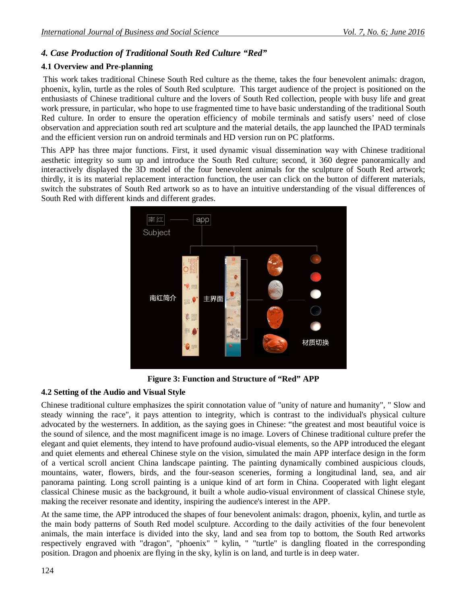## *4. Case Production of Traditional South Red Culture "Red"*

### **4.1 Overview and Pre-planning**

This work takes traditional Chinese South Red culture as the theme, takes the four benevolent animals: dragon, phoenix, kylin, turtle as the roles of South Red sculpture. This target audience of the project is positioned on the enthusiasts of Chinese traditional culture and the lovers of South Red collection, people with busy life and great work pressure, in particular, who hope to use fragmented time to have basic understanding of the traditional South Red culture. In order to ensure the operation efficiency of mobile terminals and satisfy users' need of close observation and appreciation south red art sculpture and the material details, the app launched the IPAD terminals and the efficient version run on android terminals and HD version run on PC platforms.

This APP has three major functions. First, it used dynamic visual dissemination way with Chinese traditional aesthetic integrity so sum up and introduce the South Red culture; second, it 360 degree panoramically and interactively displayed the 3D model of the four benevolent animals for the sculpture of South Red artwork; thirdly, it is its material replacement interaction function, the user can click on the button of different materials, switch the substrates of South Red artwork so as to have an intuitive understanding of the visual differences of South Red with different kinds and different grades.



**Figure 3: Function and Structure of "Red" APP**

### **4.2 Setting of the Audio and Visual Style**

Chinese traditional culture emphasizes the spirit connotation value of "unity of nature and humanity", " Slow and steady winning the race", it pays attention to integrity, which is contrast to the individual's physical culture advocated by the westerners. In addition, as the saying goes in Chinese: "the greatest and most beautiful voice is the sound of silence, and the most magnificent image is no image. Lovers of Chinese traditional culture prefer the elegant and quiet elements, they intend to have profound audio-visual elements, so the APP introduced the elegant and quiet elements and ethereal Chinese style on the vision, simulated the main APP interface design in the form of a vertical scroll ancient China landscape painting. The painting dynamically combined auspicious clouds, mountains, water, flowers, birds, and the four-season sceneries, forming a longitudinal land, sea, and air panorama painting. Long scroll painting is a unique kind of art form in China. Cooperated with light elegant classical Chinese music as the background, it built a whole audio-visual environment of classical Chinese style, making the receiver resonate and identity, inspiring the audience's interest in the APP.

At the same time, the APP introduced the shapes of four benevolent animals: dragon, phoenix, kylin, and turtle as the main body patterns of South Red model sculpture. According to the daily activities of the four benevolent animals, the main interface is divided into the sky, land and sea from top to bottom, the South Red artworks respectively engraved with "dragon", "phoenix" " kylin, " "turtle" is dangling floated in the corresponding position. Dragon and phoenix are flying in the sky, kylin is on land, and turtle is in deep water.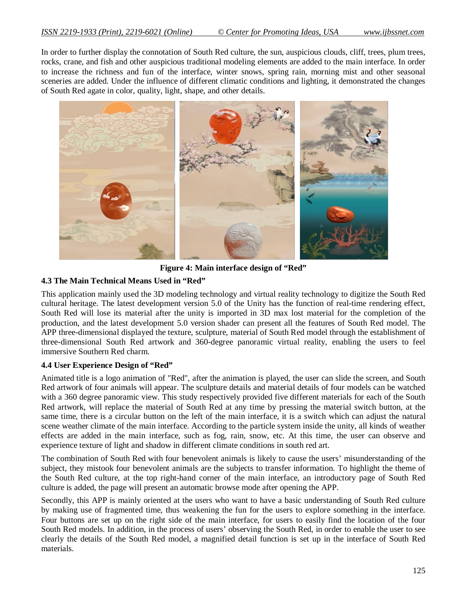In order to further display the connotation of South Red culture, the sun, auspicious clouds, cliff, trees, plum trees, rocks, crane, and fish and other auspicious traditional modeling elements are added to the main interface. In order to increase the richness and fun of the interface, winter snows, spring rain, morning mist and other seasonal sceneries are added. Under the influence of different climatic conditions and lighting, it demonstrated the changes of South Red agate in color, quality, light, shape, and other details.



**Figure 4: Main interface design of "Red"**

### **4.3 The Main Technical Means Used in "Red"**

This application mainly used the 3D modeling technology and virtual reality technology to digitize the South Red cultural heritage. The latest development version 5.0 of the Unity has the function of real-time rendering effect, South Red will lose its material after the unity is imported in 3D max lost material for the completion of the production, and the latest development 5.0 version shader can present all the features of South Red model. The APP three-dimensional displayed the texture, sculpture, material of South Red model through the establishment of three-dimensional South Red artwork and 360-degree panoramic virtual reality, enabling the users to feel immersive Southern Red charm.

### **4.4 User Experience Design of "Red"**

Animated title is a logo animation of "Red", after the animation is played, the user can slide the screen, and South Red artwork of four animals will appear. The sculpture details and material details of four models can be watched with a 360 degree panoramic view. This study respectively provided five different materials for each of the South Red artwork, will replace the material of South Red at any time by pressing the material switch button, at the same time, there is a circular button on the left of the main interface, it is a switch which can adjust the natural scene weather climate of the main interface. According to the particle system inside the unity, all kinds of weather effects are added in the main interface, such as fog, rain, snow, etc. At this time, the user can observe and experience texture of light and shadow in different climate conditions in south red art.

The combination of South Red with four benevolent animals is likely to cause the users' misunderstanding of the subject, they mistook four benevolent animals are the subjects to transfer information. To highlight the theme of the South Red culture, at the top right-hand corner of the main interface, an introductory page of South Red culture is added, the page will present an automatic browse mode after opening the APP.

Secondly, this APP is mainly oriented at the users who want to have a basic understanding of South Red culture by making use of fragmented time, thus weakening the fun for the users to explore something in the interface. Four buttons are set up on the right side of the main interface, for users to easily find the location of the four South Red models. In addition, in the process of users' observing the South Red, in order to enable the user to see clearly the details of the South Red model, a magnified detail function is set up in the interface of South Red materials.